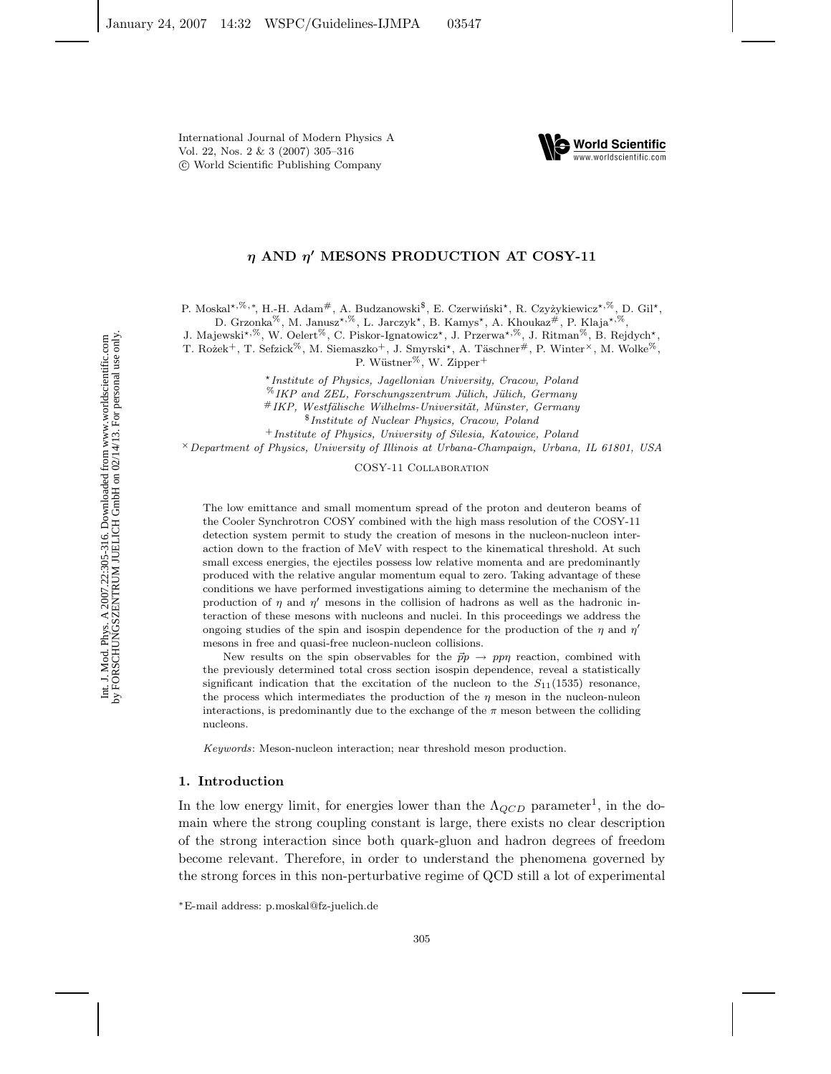

## *η* **AND** *η* **MESONS PRODUCTION AT COSY-11**

P. Moskal<sup>\*,%,∗</sup>, H.-H. Adam<sup>#</sup>, A. Budzanowski<sup>\$</sup>, E. Czerwiński<sup>\*</sup>, R. Czyżykiewicz<sup>\*,%</sup>, D. Gil\*,

D. Grzonka<sup>%</sup>, M. Janusz<sup>\*,%</sup>, L. Jarczyk<sup>\*</sup>, B. Kamys<sup>\*</sup>, A. Khoukaz<sup>#</sup>, P. Klaja<sup>\*,%</sup>,

J. Majewski<sup>\*,%</sup>, W. Oelert<sup>%</sup>, C. Piskor-Ignatowicz<sup>\*</sup>, J. Przerwa<sup>\*,%</sup>, J. Ritman<sup>%</sup>, B. Rejdych<sup>\*</sup>,

T. Rożek<sup>+</sup>, T. Sefzick<sup>%</sup>, M. Siemaszko<sup>+</sup>, J. Smyrski<sup>\*</sup>, A. Täschner#, P. Winter<sup>×</sup>, M. Wolke<sup>%</sup>,

P. Wüstner<sup>%</sup>, W. Zipper<sup>+</sup>

*Institute of Physics, Jagellonian University, Cracow, Poland* %*IKP and ZEL, Forschungszentrum J¨ulich, J¨ulich, Germany* #*IKP, Westf¨alische Wilhelms-Universit¨at, M¨unster, Germany* \$*Institute of Nuclear Physics, Cracow, Poland*

<sup>+</sup>*Institute of Physics, University of Silesia, Katowice, Poland*

×*Department of Physics, University of Illinois at Urbana-Champaign, Urbana, IL 61801, USA*

COSY-11 Collaboration

The low emittance and small momentum spread of the proton and deuteron beams of the Cooler Synchrotron COSY combined with the high mass resolution of the COSY-11 detection system permit to study the creation of mesons in the nucleon-nucleon interaction down to the fraction of MeV with respect to the kinematical threshold. At such small excess energies, the ejectiles possess low relative momenta and are predominantly produced with the relative angular momentum equal to zero. Taking advantage of these conditions we have performed investigations aiming to determine the mechanism of the production of  $\eta$  and  $\eta'$  mesons in the collision of hadrons as well as the hadronic interaction of these mesons with nucleons and nuclei. In this proceedings we address the ongoing studies of the spin and isospin dependence for the production of the  $\eta$  and  $\eta'$ mesons in free and quasi-free nucleon-nucleon collisions.

New results on the spin observables for the  $\vec{p}p \to pp\eta$  reaction, combined with the previously determined total cross section isospin dependence, reveal a statistically significant indication that the excitation of the nucleon to the  $S_{11}(1535)$  resonance, the process which intermediates the production of the  $\eta$  meson in the nucleon-nuleon interactions, is predominantly due to the exchange of the  $\pi$  meson between the colliding nucleons.

*Keywords*: Meson-nucleon interaction; near threshold meson production.

## **1. Introduction**

In the low energy limit, for energies lower than the  $\Lambda_{QCD}$  parameter<sup>1</sup>, in the domain where the strong coupling constant is large, there exists no clear description of the strong interaction since both quark-gluon and hadron degrees of freedom become relevant. Therefore, in order to understand the phenomena governed by the strong forces in this non-perturbative regime of QCD still a lot of experimental

<sup>∗</sup>E-mail address: p.moskal@fz-juelich.de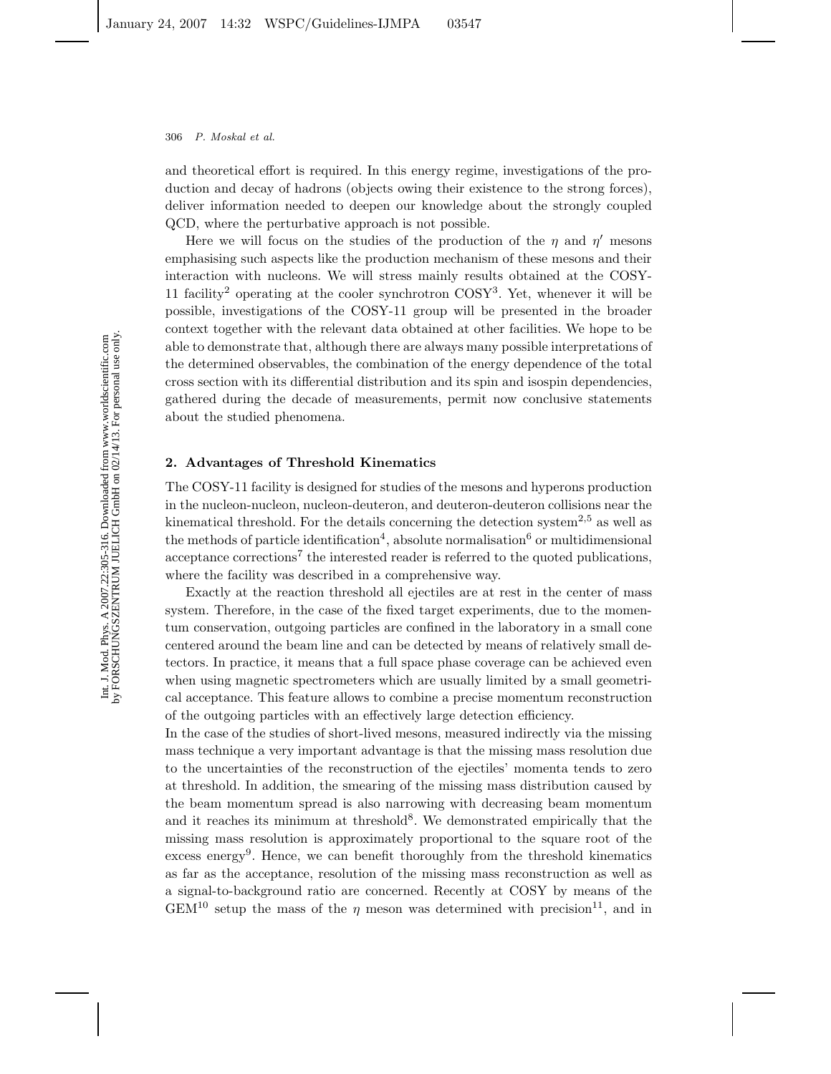and theoretical effort is required. In this energy regime, investigations of the production and decay of hadrons (objects owing their existence to the strong forces), deliver information needed to deepen our knowledge about the strongly coupled QCD, where the perturbative approach is not possible.

Here we will focus on the studies of the production of the  $\eta$  and  $\eta'$  mesons emphasising such aspects like the production mechanism of these mesons and their interaction with nucleons. We will stress mainly results obtained at the COSY-11 facility<sup>2</sup> operating at the cooler synchrotron  $COSY<sup>3</sup>$ . Yet, whenever it will be possible, investigations of the COSY-11 group will be presented in the broader context together with the relevant data obtained at other facilities. We hope to be able to demonstrate that, although there are always many possible interpretations of the determined observables, the combination of the energy dependence of the total cross section with its differential distribution and its spin and isospin dependencies, gathered during the decade of measurements, permit now conclusive statements about the studied phenomena.

#### **2. Advantages of Threshold Kinematics**

The COSY-11 facility is designed for studies of the mesons and hyperons production in the nucleon-nucleon, nucleon-deuteron, and deuteron-deuteron collisions near the kinematical threshold. For the details concerning the detection system<sup>2,5</sup> as well as the methods of particle identification<sup>4</sup>, absolute normalisation<sup>6</sup> or multidimensional acceptance corrections<sup>7</sup> the interested reader is referred to the quoted publications. where the facility was described in a comprehensive way.

Exactly at the reaction threshold all ejectiles are at rest in the center of mass system. Therefore, in the case of the fixed target experiments, due to the momentum conservation, outgoing particles are confined in the laboratory in a small cone centered around the beam line and can be detected by means of relatively small detectors. In practice, it means that a full space phase coverage can be achieved even when using magnetic spectrometers which are usually limited by a small geometrical acceptance. This feature allows to combine a precise momentum reconstruction of the outgoing particles with an effectively large detection efficiency.

In the case of the studies of short-lived mesons, measured indirectly via the missing mass technique a very important advantage is that the missing mass resolution due to the uncertainties of the reconstruction of the ejectiles' momenta tends to zero at threshold. In addition, the smearing of the missing mass distribution caused by the beam momentum spread is also narrowing with decreasing beam momentum and it reaches its minimum at threshold<sup>8</sup>. We demonstrated empirically that the missing mass resolution is approximately proportional to the square root of the excess energy<sup>9</sup>. Hence, we can benefit thoroughly from the threshold kinematics as far as the acceptance, resolution of the missing mass reconstruction as well as a signal-to-background ratio are concerned. Recently at COSY by means of the  $GEM^{10}$  setup the mass of the  $\eta$  meson was determined with precision<sup>11</sup>, and in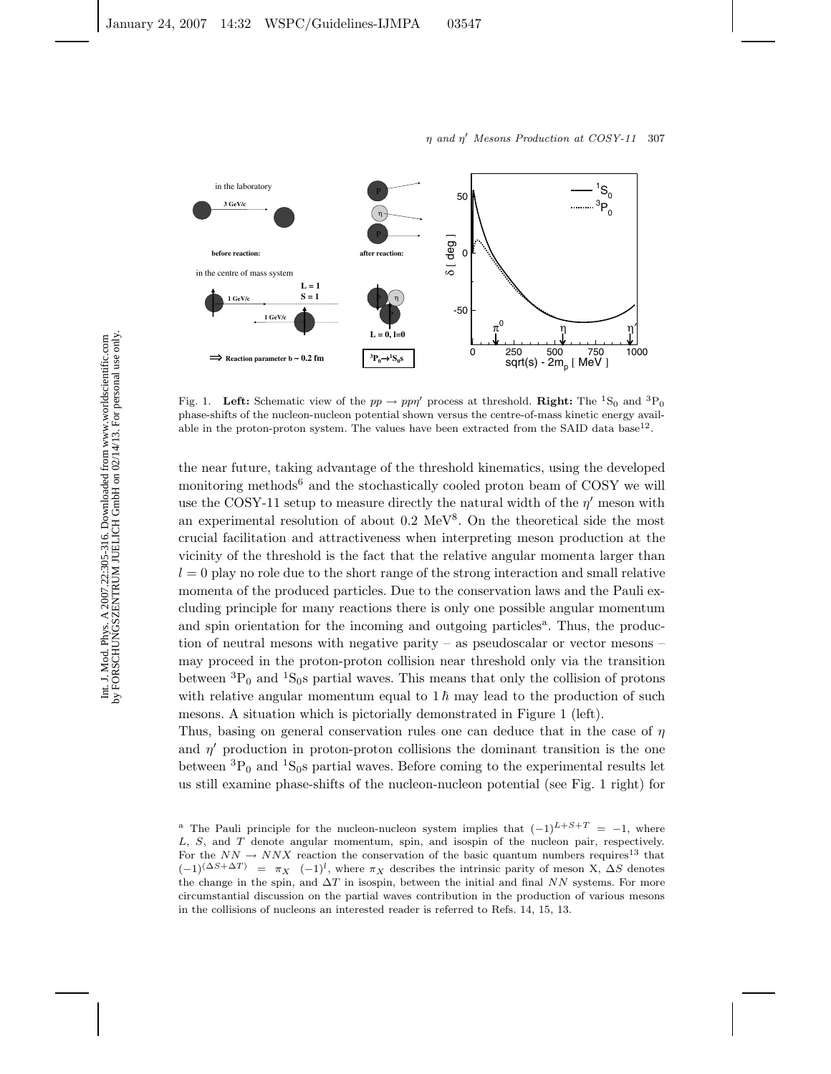

Fig. 1. **Left:** Schematic view of the  $pp \to pp\eta'$  process at threshold. **Right:** The <sup>1</sup>S<sub>0</sub> and <sup>3</sup>P<sub>0</sub> phase chifts of the nucleon pucker potential shown versus the contra of mass kinetic energy avail phase-shifts of the nucleon-nucleon potential shown versus the centre-of-mass kinetic energy available in the proton-proton system. The values have been extracted from the SAID data base<sup>12</sup>.

the near future, taking advantage of the threshold kinematics, using the developed monitoring methods<sup>6</sup> and the stochastically cooled proton beam of COSY we will use the COSY-11 setup to measure directly the natural width of the *η* meson with an experimental resolution of about  $0.2 \text{ MeV}^8$ . On the theoretical side the most crucial facilitation and attractiveness when interpreting meson production at the vicinity of the threshold is the fact that the relative angular momenta larger than  $l = 0$  play no role due to the short range of the strong interaction and small relative momenta of the produced particles. Due to the conservation laws and the Pauli excluding principle for many reactions there is only one possible angular momentum and spin orientation for the incoming and outgoing particles<sup>a</sup>. Thus, the production of neutral mesons with negative parity – as pseudoscalar or vector mesons – may proceed in the proton-proton collision near threshold only via the transition between  ${}^{3}P_{0}$  and  ${}^{1}S_{0}$ s partial waves. This means that only the collision of protons with relative angular momentum equal to  $1\hbar$  may lead to the production of such mesons. A situation which is pictorially demonstrated in Figure 1 (left).

Thus, basing on general conservation rules one can deduce that in the case of *η* and  $\eta'$  production in proton-proton collisions the dominant transition is the one between  ${}^{3}P_{0}$  and  ${}^{1}S_{0}$  partial waves. Before coming to the experimental results let us still examine phase-shifts of the nucleon-nucleon potential (see Fig. 1 right) for

<sup>&</sup>lt;sup>a</sup> The Pauli principle for the nucleon-nucleon system implies that  $(-1)^{L+S+T} = -1$ , where L, S, and T denote angular momentum, spin, and isospin of the nucleon pair, respectively. For the  $NN \rightarrow NNX$  reaction the conservation of the basic quantum numbers requires<sup>13</sup> that  $(-1)^{(\Delta S + \Delta T)} = \pi_X (-1)^l$ , where  $\pi_X$  describes the intrinsic parity of meson X,  $\Delta S$  denotes the change in the spin, and  $\Delta T$  in isospin, between the initial and final NN systems. For more circumstantial discussion on the partial waves contribution in the production of various mesons in the collisions of nucleons an interested reader is referred to Refs. 14, 15, 13.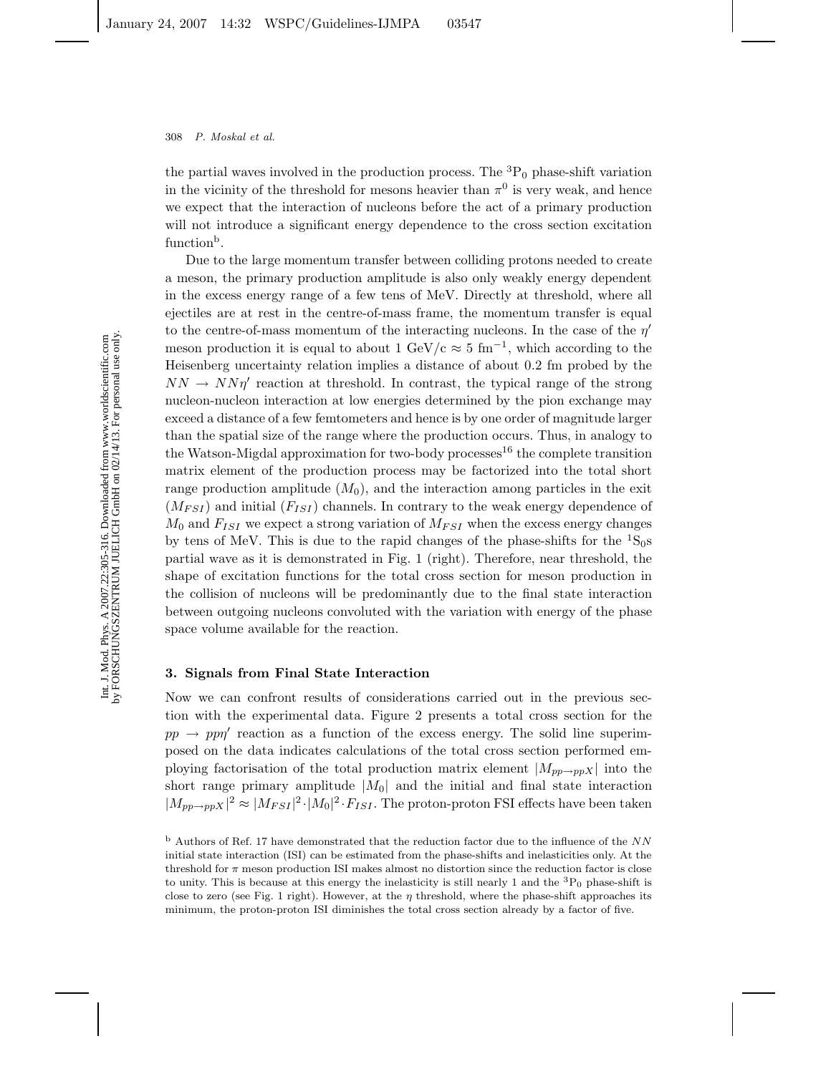the partial waves involved in the production process. The  ${}^{3}P_{0}$  phase-shift variation in the vicinity of the threshold for mesons heavier than  $\pi^0$  is very weak, and hence we expect that the interaction of nucleons before the act of a primary production will not introduce a significant energy dependence to the cross section excitation function<sup>b</sup>.

Due to the large momentum transfer between colliding protons needed to create a meson, the primary production amplitude is also only weakly energy dependent in the excess energy range of a few tens of MeV. Directly at threshold, where all ejectiles are at rest in the centre-of-mass frame, the momentum transfer is equal to the centre-of-mass momentum of the interacting nucleons. In the case of the *η* meson production it is equal to about 1 GeV/c  $\approx 5 \text{ fm}^{-1}$ , which according to the Heisenberg uncertainty relation implies a distance of about 0.2 fm probed by the  $NN \rightarrow NN\eta'$  reaction at threshold. In contrast, the typical range of the strong nucleon-nucleon interaction at low energies determined by the pion exchange may exceed a distance of a few femtometers and hence is by one order of magnitude larger than the spatial size of the range where the production occurs. Thus, in analogy to the Watson-Migdal approximation for two-body processes<sup>16</sup> the complete transition matrix element of the production process may be factorized into the total short range production amplitude  $(M_0)$ , and the interaction among particles in the exit  $(M_{FSI})$  and initial  $(F_{ISI})$  channels. In contrary to the weak energy dependence of  $M_0$  and  $F_{ISI}$  we expect a strong variation of  $M_{FSI}$  when the excess energy changes by tens of MeV. This is due to the rapid changes of the phase-shifts for the  ${}^{1}S_{0}$ s partial wave as it is demonstrated in Fig. 1 (right). Therefore, near threshold, the shape of excitation functions for the total cross section for meson production in the collision of nucleons will be predominantly due to the final state interaction between outgoing nucleons convoluted with the variation with energy of the phase space volume available for the reaction.

## **3. Signals from Final State Interaction**

Now we can confront results of considerations carried out in the previous section with the experimental data. Figure 2 presents a total cross section for the  $pp \rightarrow pp\eta'$  reaction as a function of the excess energy. The solid line superimposed on the data indicates calculations of the total cross section performed employing factorisation of the total production matrix element  $|M_{pp\rightarrow ppX}|$  into the short range primary amplitude  $|M_0|$  and the initial and final state interaction  $|M_{pp\to ppX}|^2 \approx |M_{FSI}|^2 \cdot |M_0|^2 \cdot F_{ISI}$ . The proton-proton FSI effects have been taken

 $<sup>b</sup>$  Authors of Ref. 17 have demonstrated that the reduction factor due to the influence of the NN</sup> initial state interaction (ISI) can be estimated from the phase-shifts and inelasticities only. At the threshold for  $\pi$  meson production ISI makes almost no distortion since the reduction factor is close to unity. This is because at this energy the inelasticity is still nearly 1 and the  ${}^{3}P_{0}$  phase-shift is close to zero (see Fig. 1 right). However, at the  $\eta$  threshold, where the phase-shift approaches its minimum, the proton-proton ISI diminishes the total cross section already by a factor of five.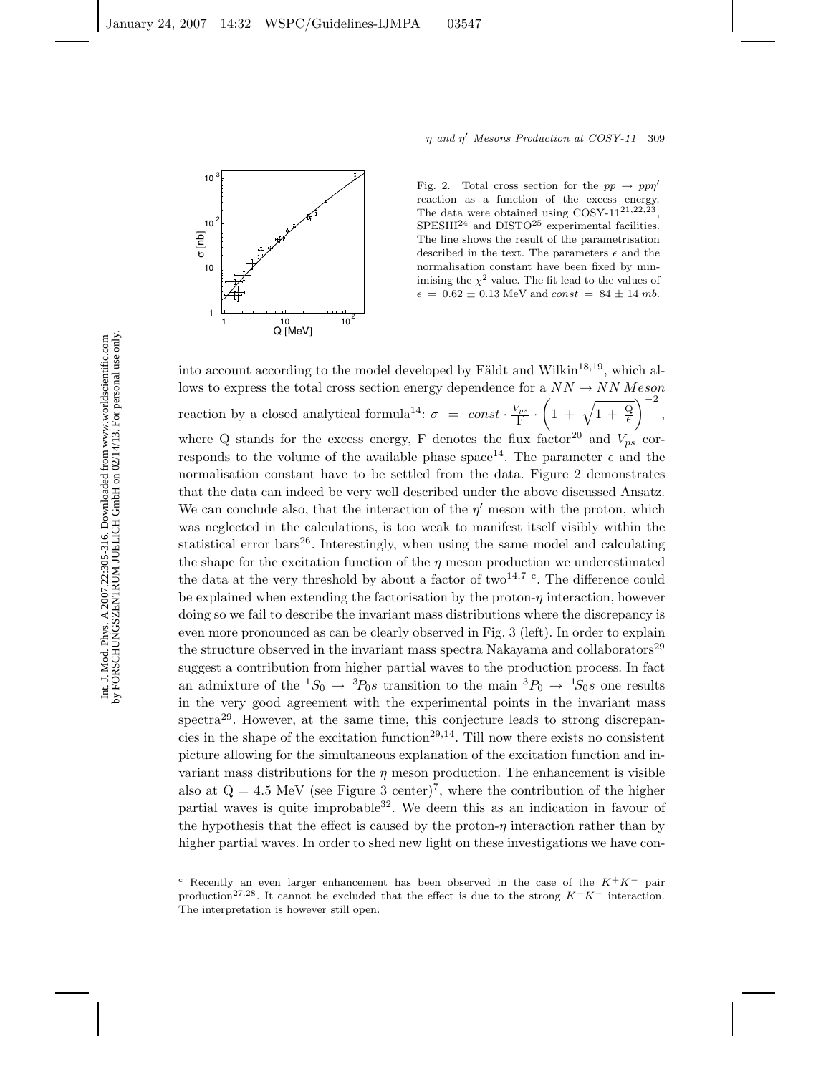

Fig. 2. Total cross section for the  $pp \rightarrow pp\eta'$ reaction as a function of the excess energy. The data were obtained using COSY-1121*,*22*,*23, SPESIII<sup>24</sup> and DISTO<sup>25</sup> experimental facilities. The line shows the result of the parametrisation described in the text. The parameters  $\epsilon$  and the normalisation constant have been fixed by minimising the  $\chi^2$  value. The fit lead to the values of  $\epsilon = 0.62 \pm 0.13 \text{ MeV}$  and const = 84  $\pm$  14 mb.

into account according to the model developed by Fäldt and Wilkin<sup>18,19</sup>, which allows to express the total cross section energy dependence for a  $NN \rightarrow NN$  *Meson* reaction by a closed analytical formula<sup>14</sup>:  $\sigma = const \cdot \frac{V_{ps}}{F}$ .  $\left(1 + \sqrt{1 + \frac{Q}{\epsilon}}\right)^{-2},$ where Q stands for the excess energy, F denotes the flux factor<sup>20</sup> and  $V_{ps}$  corresponds to the volume of the available phase space<sup>14</sup>. The parameter  $\epsilon$  and the normalisation constant have to be settled from the data. Figure 2 demonstrates that the data can indeed be very well described under the above discussed Ansatz. We can conclude also, that the interaction of the  $\eta'$  meson with the proton, which was neglected in the calculations, is too weak to manifest itself visibly within the statistical error bars $26$ . Interestingly, when using the same model and calculating the shape for the excitation function of the  $\eta$  meson production we underestimated the data at the very threshold by about a factor of two<sup>14,7</sup> <sup>c</sup>. The difference could be explained when extending the factorisation by the proton-*η* interaction, however doing so we fail to describe the invariant mass distributions where the discrepancy is even more pronounced as can be clearly observed in Fig. 3 (left). In order to explain the structure observed in the invariant mass spectra Nakayama and collaborators $^{29}$ suggest a contribution from higher partial waves to the production process. In fact an admixture of the  ${}^1S_0 \rightarrow {}^3P_0s$  transition to the main  ${}^3P_0 \rightarrow {}^1S_0s$  one results in the very good agreement with the experimental points in the invariant mass spectra<sup>29</sup>. However, at the same time, this conjecture leads to strong discrepancies in the shape of the excitation function<sup>29,14</sup>. Till now there exists no consistent picture allowing for the simultaneous explanation of the excitation function and invariant mass distributions for the  $\eta$  meson production. The enhancement is visible also at  $Q = 4.5$  MeV (see Figure 3 center)<sup>7</sup>, where the contribution of the higher partial waves is quite improbable  $32$ . We deem this as an indication in favour of the hypothesis that the effect is caused by the proton-*η* interaction rather than by higher partial waves. In order to shed new light on these investigations we have con-

c Recently an even larger enhancement has been observed in the case of the  $K^+K^-$  pair production<sup>27,28</sup>. It cannot be excluded that the effect is due to the strong  $K^+K^-$  interaction. The interpretation is however still open.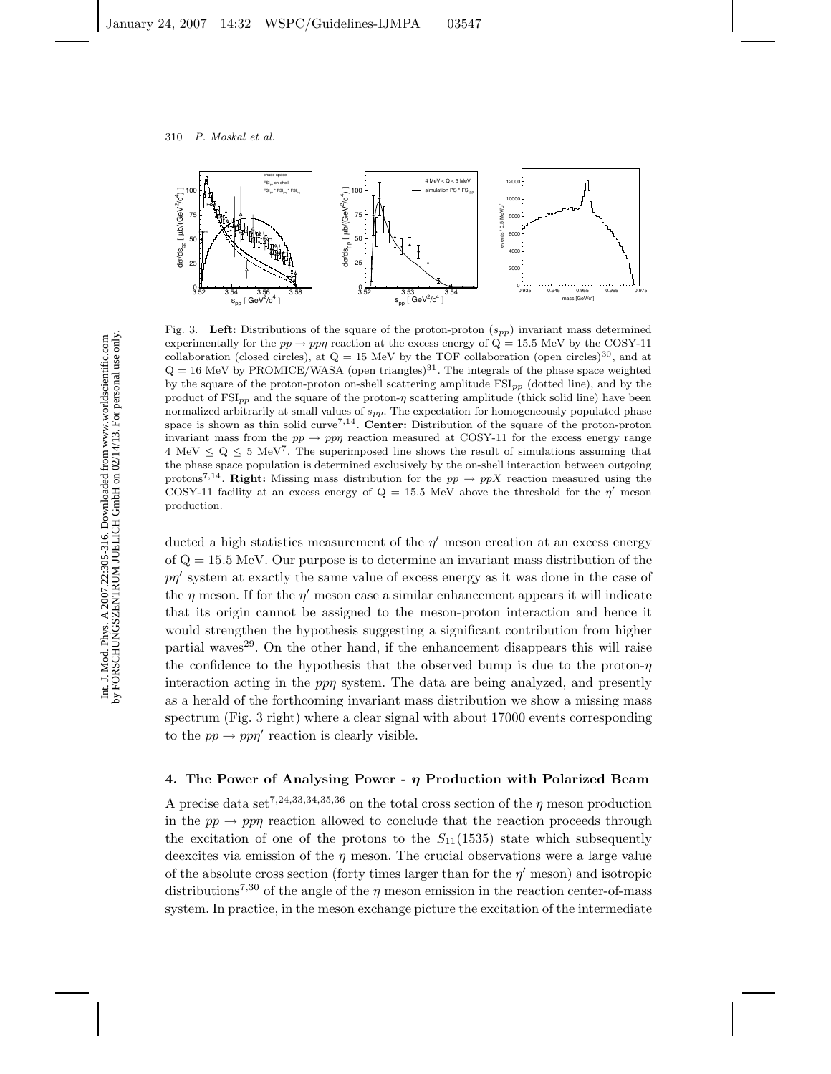

Fig. 3. **Left:** Distributions of the square of the proton-proton (s*pp*) invariant mass determined experimentally for the  $pp \rightarrow pp\eta$  reaction at the excess energy of  $Q = 15.5$  MeV by the COSY-11 collaboration (closed circles), at  $Q = 15$  MeV by the TOF collaboration (open circles)<sup>30</sup>, and at  $Q = 16$  MeV by PROMICE/WASA (open triangles)<sup>31</sup>. The integrals of the phase space weighted by the square of the proton-proton on-shell scattering amplitude FSI*pp* (dotted line), and by the product of  $\text{FSI}_{pp}$  and the square of the proton- $\eta$  scattering amplitude (thick solid line) have been normalized arbitrarily at small values of  $s_{pp}$ . The expectation for homogeneously populated phase space is shown as thin solid curve7*,*14. **Center:** Distribution of the square of the proton-proton invariant mass from the  $pp \rightarrow pp\eta$  reaction measured at COSY-11 for the excess energy range  $4 \text{ MeV} \leq Q \leq 5 \text{ MeV}^7$ . The superimposed line shows the result of simulations assuming that the phase space population is determined exclusively by the on-shell interaction between outgoing protons<sup>7,14</sup>. **Right:** Missing mass distribution for the  $pp \rightarrow ppX$  reaction measured using the COSY-11 facility at an excess energy of  $Q = 15.5$  MeV above the threshold for the  $\eta'$  meson production.

ducted a high statistics measurement of the  $\eta'$  meson creation at an excess energy of  $Q = 15.5$  MeV. Our purpose is to determine an invariant mass distribution of the *pn*' system at exactly the same value of excess energy as it was done in the case of the *η* meson. If for the *η* meson case a similar enhancement appears it will indicate that its origin cannot be assigned to the meson-proton interaction and hence it would strengthen the hypothesis suggesting a significant contribution from higher partial waves<sup>29</sup>. On the other hand, if the enhancement disappears this will raise the confidence to the hypothesis that the observed bump is due to the proton-*η* interaction acting in the *ppη* system. The data are being analyzed, and presently as a herald of the forthcoming invariant mass distribution we show a missing mass spectrum (Fig. 3 right) where a clear signal with about 17000 events corresponding to the  $pp \rightarrow pp\eta'$  reaction is clearly visible.

### **4. The Power of Analysing Power -** *η* **Production with Polarized Beam**

A precise data set<sup>7,24,33,34,35,36</sup> on the total cross section of the *η* meson production in the  $pp \rightarrow pp\eta$  reaction allowed to conclude that the reaction proceeds through the excitation of one of the protons to the  $S_{11}(1535)$  state which subsequently deexcites via emission of the *η* meson. The crucial observations were a large value of the absolute cross section (forty times larger than for the  $\eta'$  meson) and isotropic distributions<sup>7,30</sup> of the angle of the *η* meson emission in the reaction center-of-mass system. In practice, in the meson exchange picture the excitation of the intermediate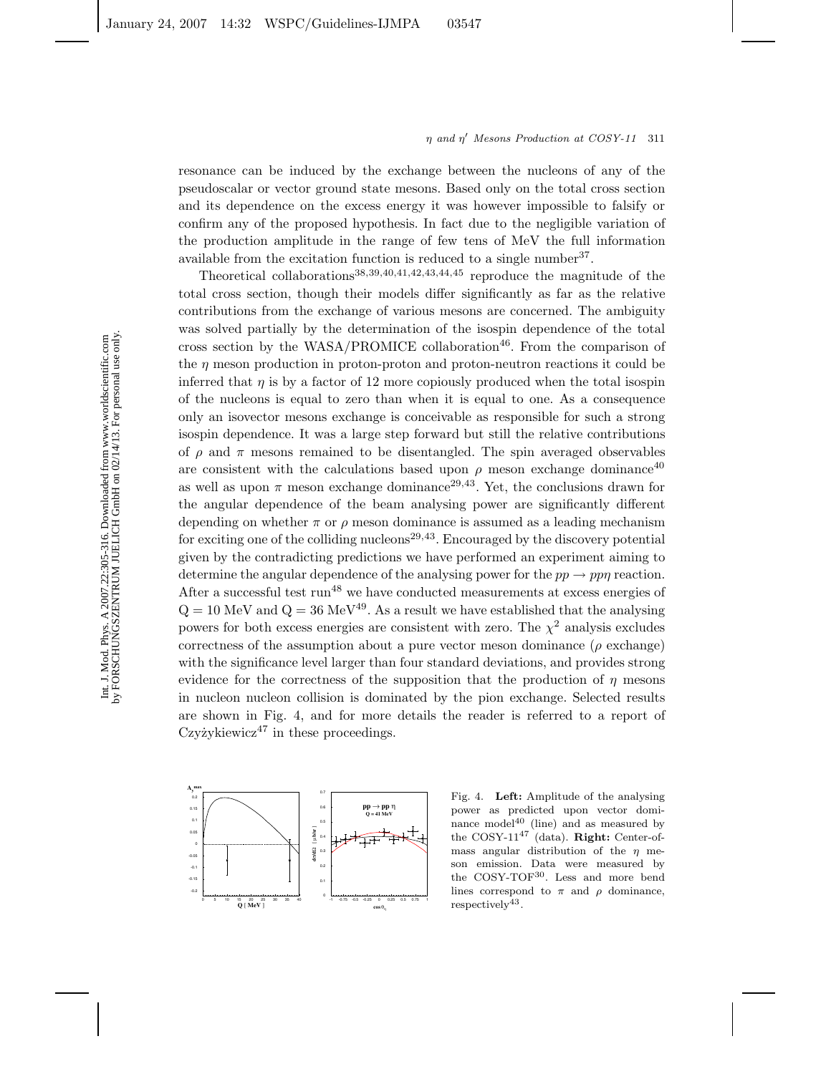resonance can be induced by the exchange between the nucleons of any of the pseudoscalar or vector ground state mesons. Based only on the total cross section and its dependence on the excess energy it was however impossible to falsify or confirm any of the proposed hypothesis. In fact due to the negligible variation of the production amplitude in the range of few tens of MeV the full information available from the excitation function is reduced to a single number  $37$ .

Theoretical collaborations38,39,40,41,42,43,44,<sup>45</sup> reproduce the magnitude of the total cross section, though their models differ significantly as far as the relative contributions from the exchange of various mesons are concerned. The ambiguity was solved partially by the determination of the isospin dependence of the total cross section by the  $WASA/PROMICE$  collaboration<sup>46</sup>. From the comparison of the *η* meson production in proton-proton and proton-neutron reactions it could be inferred that  $\eta$  is by a factor of 12 more copiously produced when the total isospin of the nucleons is equal to zero than when it is equal to one. As a consequence only an isovector mesons exchange is conceivable as responsible for such a strong isospin dependence. It was a large step forward but still the relative contributions of  $\rho$  and  $\pi$  mesons remained to be disentangled. The spin averaged observables are consistent with the calculations based upon  $\rho$  meson exchange dominance<sup>40</sup> as well as upon  $\pi$  meson exchange dominance<sup>29,43</sup>. Yet, the conclusions drawn for the angular dependence of the beam analysing power are significantly different depending on whether  $\pi$  or  $\rho$  meson dominance is assumed as a leading mechanism for exciting one of the colliding nucleons<sup>29,43</sup>. Encouraged by the discovery potential given by the contradicting predictions we have performed an experiment aiming to determine the angular dependence of the analysing power for the  $pp \rightarrow pp\eta$  reaction. After a successful test run<sup>48</sup> we have conducted measurements at excess energies of  $Q = 10$  MeV and  $Q = 36$  MeV<sup>49</sup>. As a result we have established that the analysing powers for both excess energies are consistent with zero. The  $\chi^2$  analysis excludes correctness of the assumption about a pure vector meson dominance ( $\rho$  exchange) with the significance level larger than four standard deviations, and provides strong evidence for the correctness of the supposition that the production of  $\eta$  mesons in nucleon nucleon collision is dominated by the pion exchange. Selected results are shown in Fig. 4, and for more details the reader is referred to a report of Czyżykiewicz<sup>47</sup> in these proceedings.



Fig. 4. **Left:** Amplitude of the analysing power as predicted upon vector dominance model $40$  (line) and as measured by the COSY-11<sup>47</sup> (data). **Right:** Center-ofmass angular distribution of the  $\eta$  meson emission. Data were measured by the COSY-TOF30. Less and more bend lines correspond to  $\pi$  and  $\rho$  dominance,  $respectively<sup>43</sup>.$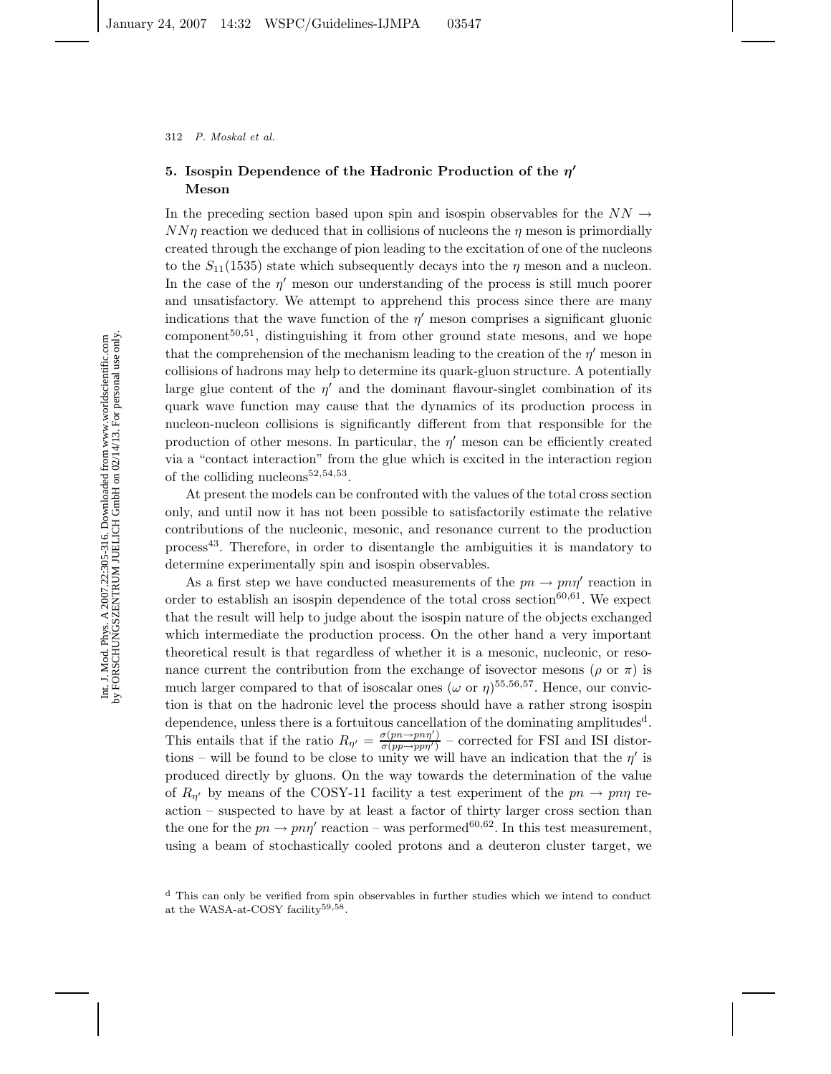# **5. Isospin Dependence of the Hadronic Production of the** *η* **Meson**

In the preceding section based upon spin and isospin observables for the  $NN \rightarrow$ *NNη* reaction we deduced that in collisions of nucleons the *η* meson is primordially created through the exchange of pion leading to the excitation of one of the nucleons to the  $S_{11}(1535)$  state which subsequently decays into the  $\eta$  meson and a nucleon. In the case of the  $\eta'$  meson our understanding of the process is still much poorer and unsatisfactory. We attempt to apprehend this process since there are many indications that the wave function of the  $\eta'$  meson comprises a significant gluonic  $component<sup>50,51</sup>$ , distinguishing it from other ground state mesons, and we hope that the comprehension of the mechanism leading to the creation of the  $\eta'$  meson in collisions of hadrons may help to determine its quark-gluon structure. A potentially large glue content of the  $\eta'$  and the dominant flavour-singlet combination of its quark wave function may cause that the dynamics of its production process in nucleon-nucleon collisions is significantly different from that responsible for the production of other mesons. In particular, the *η* meson can be efficiently created via a "contact interaction" from the glue which is excited in the interaction region of the colliding nucleons  $52,54,53$ .

At present the models can be confronted with the values of the total cross section only, and until now it has not been possible to satisfactorily estimate the relative contributions of the nucleonic, mesonic, and resonance current to the production process<sup>43</sup>. Therefore, in order to disentangle the ambiguities it is mandatory to determine experimentally spin and isospin observables.

As a first step we have conducted measurements of the  $pn \to pn\eta'$  reaction in order to establish an isospin dependence of the total cross section<sup>60,61</sup>. We expect that the result will help to judge about the isospin nature of the objects exchanged which intermediate the production process. On the other hand a very important theoretical result is that regardless of whether it is a mesonic, nucleonic, or resonance current the contribution from the exchange of isovector mesons ( $\rho$  or  $\pi$ ) is much larger compared to that of isoscalar ones ( $\omega$  or  $\eta$ )<sup>55,56,57</sup>. Hence, our conviction is that on the hadronic level the process should have a rather strong isospin dependence, unless there is a fortuitous cancellation of the dominating amplitudes<sup>d</sup>. This entails that if the ratio  $R_{\eta'} = \frac{\sigma(p_n \to pn\eta')}{\sigma(p_p \to pp\eta')}$  – corrected for FSI and ISI distortions – will be found to be close to unity we will have an indication that the  $\eta'$  is produced directly by gluons. On the way towards the determination of the value of  $R_{\eta'}$  by means of the COSY-11 facility a test experiment of the  $pn \to pn\eta$  reaction – suspected to have by at least a factor of thirty larger cross section than the one for the  $pn \to pn\eta'$  reaction – was performed<sup>60,62</sup>. In this test measurement, using a beam of stochastically cooled protons and a deuteron cluster target, we

<sup>&</sup>lt;sup>d</sup> This can only be verified from spin observables in further studies which we intend to conduct at the WASA-at-COSY facility59*,*58.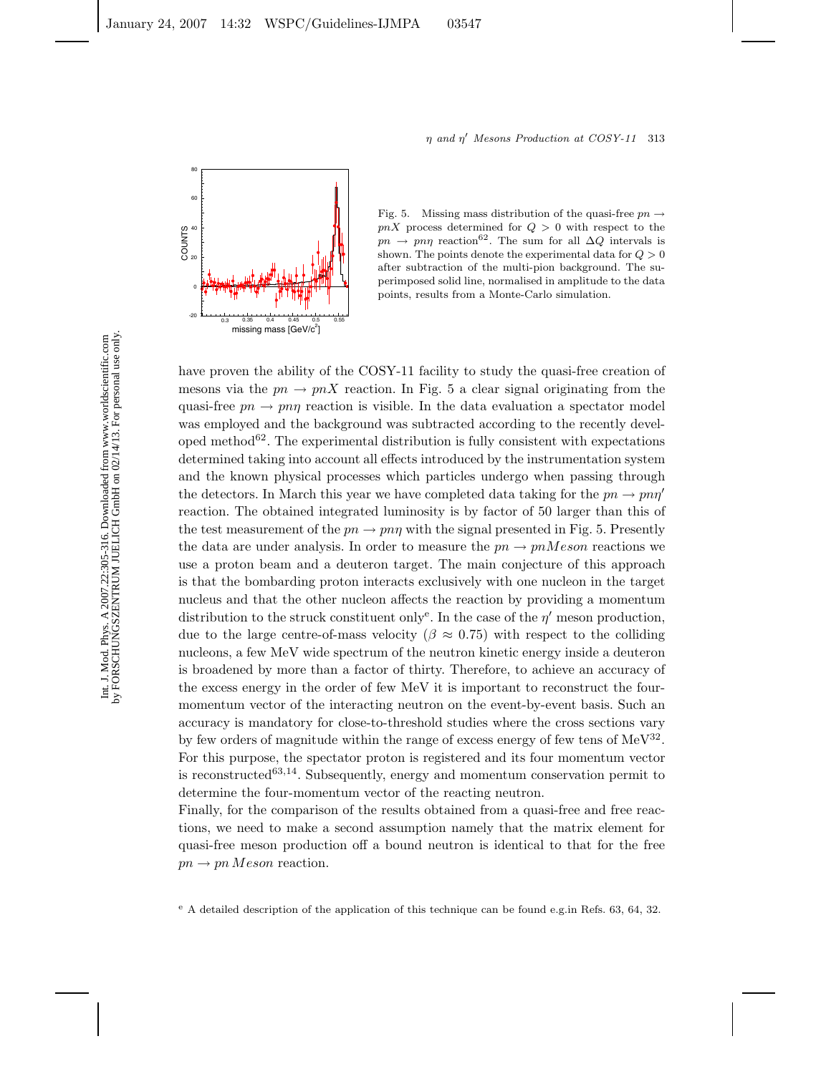

Fig. 5. Missing mass distribution of the quasi-free  $pn \rightarrow$  $pnX$  process determined for  $Q > 0$  with respect to the  $pn \to pn\eta$  reaction<sup>62</sup>. The sum for all  $\Delta Q$  intervals is shown. The points denote the experimental data for  $Q > 0$ after subtraction of the multi-pion background. The superimposed solid line, normalised in amplitude to the data points, results from a Monte-Carlo simulation.

have proven the ability of the COSY-11 facility to study the quasi-free creation of mesons via the  $pn \to pnX$  reaction. In Fig. 5 a clear signal originating from the quasi-free  $pn \to pn\eta$  reaction is visible. In the data evaluation a spectator model was employed and the background was subtracted according to the recently developed method $62$ . The experimental distribution is fully consistent with expectations determined taking into account all effects introduced by the instrumentation system and the known physical processes which particles undergo when passing through the detectors. In March this year we have completed data taking for the  $pn \to pn\eta'$ reaction. The obtained integrated luminosity is by factor of 50 larger than this of the test measurement of the  $pn \to pn\eta$  with the signal presented in Fig. 5. Presently the data are under analysis. In order to measure the  $pn \to pnMeson$  reactions we use a proton beam and a deuteron target. The main conjecture of this approach is that the bombarding proton interacts exclusively with one nucleon in the target nucleus and that the other nucleon affects the reaction by providing a momentum distribution to the struck constituent only<sup>e</sup>. In the case of the *η* meson production, due to the large centre-of-mass velocity ( $\beta \approx 0.75$ ) with respect to the colliding nucleons, a few MeV wide spectrum of the neutron kinetic energy inside a deuteron is broadened by more than a factor of thirty. Therefore, to achieve an accuracy of the excess energy in the order of few MeV it is important to reconstruct the fourmomentum vector of the interacting neutron on the event-by-event basis. Such an accuracy is mandatory for close-to-threshold studies where the cross sections vary by few orders of magnitude within the range of excess energy of few tens of  $MeV^{32}$ . For this purpose, the spectator proton is registered and its four momentum vector is reconstructed<sup>63,14</sup>. Subsequently, energy and momentum conservation permit to determine the four-momentum vector of the reacting neutron.

Finally, for the comparison of the results obtained from a quasi-free and free reactions, we need to make a second assumption namely that the matrix element for quasi-free meson production off a bound neutron is identical to that for the free  $pn \rightarrow pn$  *Meson* reaction.

<sup>e</sup> A detailed description of the application of this technique can be found e.g.in Refs. 63, 64, 32.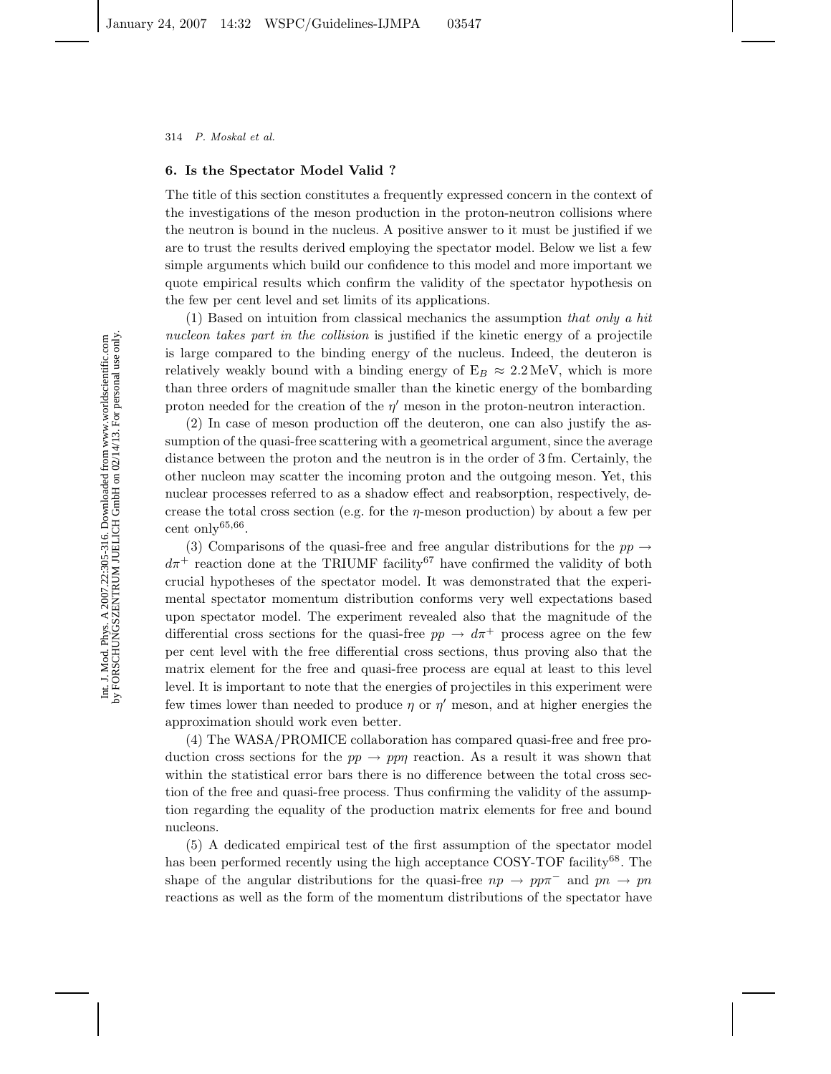### **6. Is the Spectator Model Valid ?**

The title of this section constitutes a frequently expressed concern in the context of the investigations of the meson production in the proton-neutron collisions where the neutron is bound in the nucleus. A positive answer to it must be justified if we are to trust the results derived employing the spectator model. Below we list a few simple arguments which build our confidence to this model and more important we quote empirical results which confirm the validity of the spectator hypothesis on the few per cent level and set limits of its applications.

(1) Based on intuition from classical mechanics the assumption *that only a hit nucleon takes part in the collision* is justified if the kinetic energy of a projectile is large compared to the binding energy of the nucleus. Indeed, the deuteron is relatively weakly bound with a binding energy of  $E_B \approx 2.2 \text{ MeV}$ , which is more than three orders of magnitude smaller than the kinetic energy of the bombarding proton needed for the creation of the *η'* meson in the proton-neutron interaction.

(2) In case of meson production off the deuteron, one can also justify the assumption of the quasi-free scattering with a geometrical argument, since the average distance between the proton and the neutron is in the order of 3 fm. Certainly, the other nucleon may scatter the incoming proton and the outgoing meson. Yet, this nuclear processes referred to as a shadow effect and reabsorption, respectively, decrease the total cross section (e.g. for the *η*-meson production) by about a few per cent only $^{65,66}$ .

(3) Comparisons of the quasi-free and free angular distributions for the  $pp \rightarrow$  $d\pi$ <sup>+</sup> reaction done at the TRIUMF facility<sup>67</sup> have confirmed the validity of both crucial hypotheses of the spectator model. It was demonstrated that the experimental spectator momentum distribution conforms very well expectations based upon spectator model. The experiment revealed also that the magnitude of the differential cross sections for the quasi-free  $pp \rightarrow d\pi^{+}$  process agree on the few per cent level with the free differential cross sections, thus proving also that the matrix element for the free and quasi-free process are equal at least to this level level. It is important to note that the energies of projectiles in this experiment were few times lower than needed to produce  $\eta$  or  $\eta'$  meson, and at higher energies the approximation should work even better.

(4) The WASA/PROMICE collaboration has compared quasi-free and free production cross sections for the  $pp \rightarrow pp\eta$  reaction. As a result it was shown that within the statistical error bars there is no difference between the total cross section of the free and quasi-free process. Thus confirming the validity of the assumption regarding the equality of the production matrix elements for free and bound nucleons.

(5) A dedicated empirical test of the first assumption of the spectator model has been performed recently using the high acceptance COSY-TOF facility<sup>68</sup>. The shape of the angular distributions for the quasi-free  $np \to pp\pi^-$  and  $pn \to pn$ reactions as well as the form of the momentum distributions of the spectator have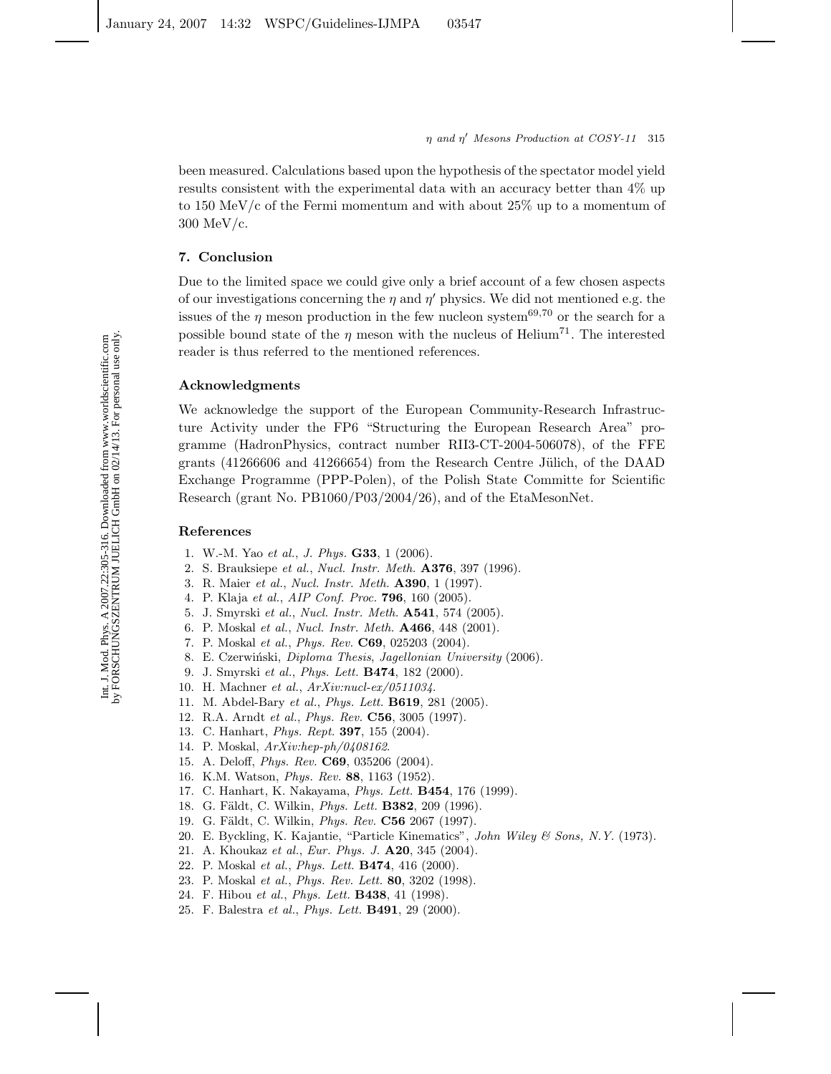been measured. Calculations based upon the hypothesis of the spectator model yield results consistent with the experimental data with an accuracy better than 4% up to 150 MeV/c of the Fermi momentum and with about 25% up to a momentum of 300 MeV/c.

# **7. Conclusion**

Due to the limited space we could give only a brief account of a few chosen aspects of our investigations concerning the  $\eta$  and  $\eta'$  physics. We did not mentioned e.g. the issues of the  $\eta$  meson production in the few nucleon system<sup>69,70</sup> or the search for a possible bound state of the *η* meson with the nucleus of Helium<sup>71</sup>. The interested reader is thus referred to the mentioned references.

# **Acknowledgments**

We acknowledge the support of the European Community-Research Infrastructure Activity under the FP6 "Structuring the European Research Area" programme (HadronPhysics, contract number RII3-CT-2004-506078), of the FFE grants  $(41266606$  and  $41266654)$  from the Research Centre Jülich, of the DAAD Exchange Programme (PPP-Polen), of the Polish State Committe for Scientific Research (grant No. PB1060/P03/2004/26), and of the EtaMesonNet.

# **References**

- 1. W.-M. Yao *et al.*, *J. Phys.* **G33**, 1 (2006).
- 2. S. Brauksiepe *et al.*, *Nucl. Instr. Meth.* **A376**, 397 (1996).
- 3. R. Maier *et al.*, *Nucl. Instr. Meth.* **A390**, 1 (1997).
- 4. P. Klaja *et al.*, *AIP Conf. Proc.* **796**, 160 (2005).
- 5. J. Smyrski *et al.*, *Nucl. Instr. Meth.* **A541**, 574 (2005).
- 6. P. Moskal *et al.*, *Nucl. Instr. Meth.* **A466**, 448 (2001).
- 7. P. Moskal *et al.*, *Phys. Rev.* **C69**, 025203 (2004).
- 8. E. Czerwiński, *Diploma Thesis*, *Jagellonian University* (2006).
- 9. J. Smyrski *et al.*, *Phys. Lett.* **B474**, 182 (2000).
- 10. H. Machner *et al.*, *ArXiv:nucl-ex/0511034*.
- 11. M. Abdel-Bary *et al.*, *Phys. Lett.* **B619**, 281 (2005).
- 12. R.A. Arndt *et al.*, *Phys. Rev.* **C56**, 3005 (1997).
- 13. C. Hanhart, *Phys. Rept.* **397**, 155 (2004).
- 14. P. Moskal, *ArXiv:hep-ph/0408162*.
- 15. A. Deloff, *Phys. Rev.* **C69**, 035206 (2004).
- 16. K.M. Watson, *Phys. Rev.* **88**, 1163 (1952).
- 17. C. Hanhart, K. Nakayama, *Phys. Lett.* **B454**, 176 (1999).
- 18. G. Fäldt, C. Wilkin, *Phys. Lett.* **B382**, 209 (1996).
- 19. G. Fäldt, C. Wilkin, *Phys. Rev.* **C56** 2067 (1997).
- 20. E. Byckling, K. Kajantie, "Particle Kinematics", *John Wiley & Sons, N.Y.* (1973).
- 21. A. Khoukaz *et al.*, *Eur. Phys. J.* **A20**, 345 (2004).
- 22. P. Moskal *et al.*, *Phys. Lett.* **B474**, 416 (2000).
- 23. P. Moskal *et al.*, *Phys. Rev. Lett.* **80**, 3202 (1998).
- 24. F. Hibou *et al.*, *Phys. Lett.* **B438**, 41 (1998).
- 25. F. Balestra *et al.*, *Phys. Lett.* **B491**, 29 (2000).